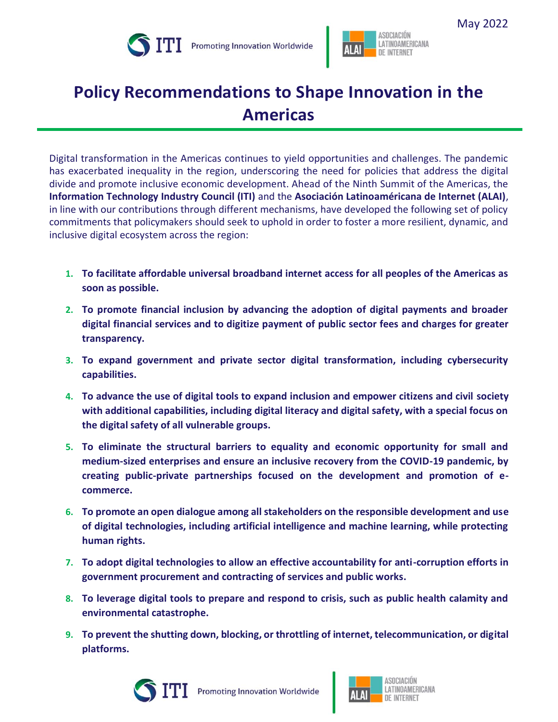



## **Policy Recommendations to Shape Innovation in the Americas**

Digital transformation in the Americas continues to yield opportunities and challenges. The pandemic has exacerbated inequality in the region, underscoring the need for policies that address the digital divide and promote inclusive economic development. Ahead of the Ninth Summit of the Americas, the **Information Technology Industry Council (ITI)** and the **Asociación Latinoaméricana de Internet (ALAI)**, in line with our contributions through different mechanisms, have developed the following set of policy commitments that policymakers should seek to uphold in order to foster a more resilient, dynamic, and inclusive digital ecosystem across the region:

- **1. To facilitate affordable universal broadband internet access for all peoples of the Americas as soon as possible.**
- **2. To promote financial inclusion by advancing the adoption of digital payments and broader digital financial services and to digitize payment of public sector fees and charges for greater transparency.**
- **3. To expand government and private sector digital transformation, including cybersecurity capabilities.**
- **4. To advance the use of digital tools to expand inclusion and empower citizens and civil society with additional capabilities, including digital literacy and digital safety, with a special focus on the digital safety of all vulnerable groups.**
- **5. To eliminate the structural barriers to equality and economic opportunity for small and medium-sized enterprises and ensure an inclusive recovery from the COVID-19 pandemic, by creating public-private partnerships focused on the development and promotion of ecommerce.**
- **6. To promote an open dialogue among all stakeholders on the responsible development and use of digital technologies, including artificial intelligence and machine learning, while protecting human rights.**
- **7. To adopt digital technologies to allow an effective accountability for anti-corruption efforts in government procurement and contracting of services and public works.**
- **8. To leverage digital tools to prepare and respond to crisis, such as public health calamity and environmental catastrophe.**
- **9. To prevent the shutting down, blocking, or throttling of internet, telecommunication, or digital platforms.**